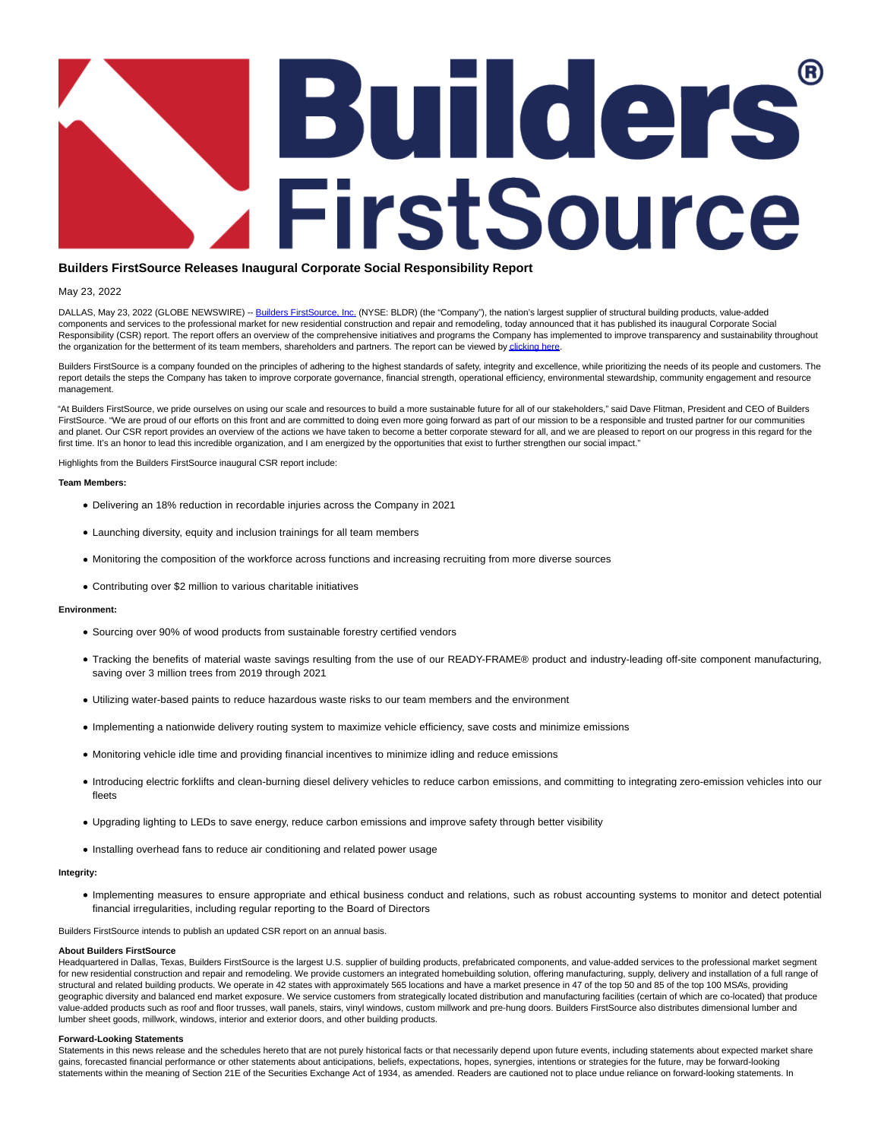# Builders FirstSource

# **Builders FirstSource Releases Inaugural Corporate Social Responsibility Report**

## May 23, 2022

DALLAS, May 23, 2022 (GLOBE NEWSWIRE) -[- Builders FirstSource, Inc. \(](https://www.globenewswire.com/Tracker?data=QKtQvSzLTHQ3fi0J_IQePqWVG43AWqbnJLPAXTSWlB0FNvsDuCdkqdjMLBT5yq6cikDT2oF9s1igI7HNubmSb0buBtLp0C0hW0YTeM7xjSE=)NYSE: BLDR) (the "Company"), the nation's largest supplier of structural building products, value-added components and services to the professional market for new residential construction and repair and remodeling, today announced that it has published its inaugural Corporate Social Responsibility (CSR) report. The report offers an overview of the comprehensive initiatives and programs the Company has implemented to improve transparency and sustainability throughout the organization for the betterment of its team members, shareholders and partners. The report can be viewed by [clicking here.](https://www.globenewswire.com/Tracker?data=6iaOJZ_aJ405AMCCzeLF8cnX5smvRmk4pLaMNo2wiPkj0it7TzcSvhc5IlISxvGzTJDQLx6J-IpbZt7iAMDDs9L0_8epPSuCCcJ1z-TsseM5Hy0RDyz1wxen-3tsY5puxRf58izbwlkMByFfRfSoQg==)

Builders FirstSource is a company founded on the principles of adhering to the highest standards of safety, integrity and excellence, while prioritizing the needs of its people and customers. The report details the steps the Company has taken to improve corporate governance, financial strength, operational efficiency, environmental stewardship, community engagement and resource management.

"At Builders FirstSource, we pride ourselves on using our scale and resources to build a more sustainable future for all of our stakeholders," said Dave Flitman, President and CEO of Builders FirstSource. "We are proud of our efforts on this front and are committed to doing even more going forward as part of our mission to be a responsible and trusted partner for our communities and planet. Our CSR report provides an overview of the actions we have taken to become a better corporate steward for all, and we are pleased to report on our progress in this regard for the first time. It's an honor to lead this incredible organization, and I am energized by the opportunities that exist to further strengthen our social impact."

Highlights from the Builders FirstSource inaugural CSR report include:

#### **Team Members:**

- Delivering an 18% reduction in recordable injuries across the Company in 2021
- Launching diversity, equity and inclusion trainings for all team members
- Monitoring the composition of the workforce across functions and increasing recruiting from more diverse sources
- Contributing over \$2 million to various charitable initiatives

#### **Environment:**

- Sourcing over 90% of wood products from sustainable forestry certified vendors
- Tracking the benefits of material waste savings resulting from the use of our READY-FRAME® product and industry-leading off-site component manufacturing, saving over 3 million trees from 2019 through 2021
- Utilizing water-based paints to reduce hazardous waste risks to our team members and the environment
- Implementing a nationwide delivery routing system to maximize vehicle efficiency, save costs and minimize emissions
- Monitoring vehicle idle time and providing financial incentives to minimize idling and reduce emissions
- Introducing electric forklifts and clean-burning diesel delivery vehicles to reduce carbon emissions, and committing to integrating zero-emission vehicles into our fleets
- Upgrading lighting to LEDs to save energy, reduce carbon emissions and improve safety through better visibility
- Installing overhead fans to reduce air conditioning and related power usage

#### **Integrity:**

Implementing measures to ensure appropriate and ethical business conduct and relations, such as robust accounting systems to monitor and detect potential financial irregularities, including regular reporting to the Board of Directors

Builders FirstSource intends to publish an updated CSR report on an annual basis.

#### **About Builders FirstSource**

Headquartered in Dallas, Texas, Builders FirstSource is the largest U.S. supplier of building products, prefabricated components, and value-added services to the professional market segment for new residential construction and repair and remodeling. We provide customers an integrated homebuilding solution, offering manufacturing, supply, delivery and installation of a full range of structural and related building products. We operate in 42 states with approximately 565 locations and have a market presence in 47 of the top 50 and 85 of the top 100 MSA's, providing geographic diversity and balanced end market exposure. We service customers from strategically located distribution and manufacturing facilities (certain of which are co-located) that produce value-added products such as roof and floor trusses, wall panels, stairs, vinyl windows, custom millwork and pre-hung doors. Builders FirstSource also distributes dimensional lumber and lumber sheet goods, millwork, windows, interior and exterior doors, and other building products.

#### **Forward-Looking Statements**

Statements in this news release and the schedules hereto that are not purely historical facts or that necessarily depend upon future events, including statements about expected market share gains, forecasted financial performance or other statements about anticipations, beliefs, expectations, hopes, synergies, intentions or strategies for the future, may be forward-looking statements within the meaning of Section 21E of the Securities Exchange Act of 1934, as amended. Readers are cautioned not to place undue reliance on forward-looking statements. In